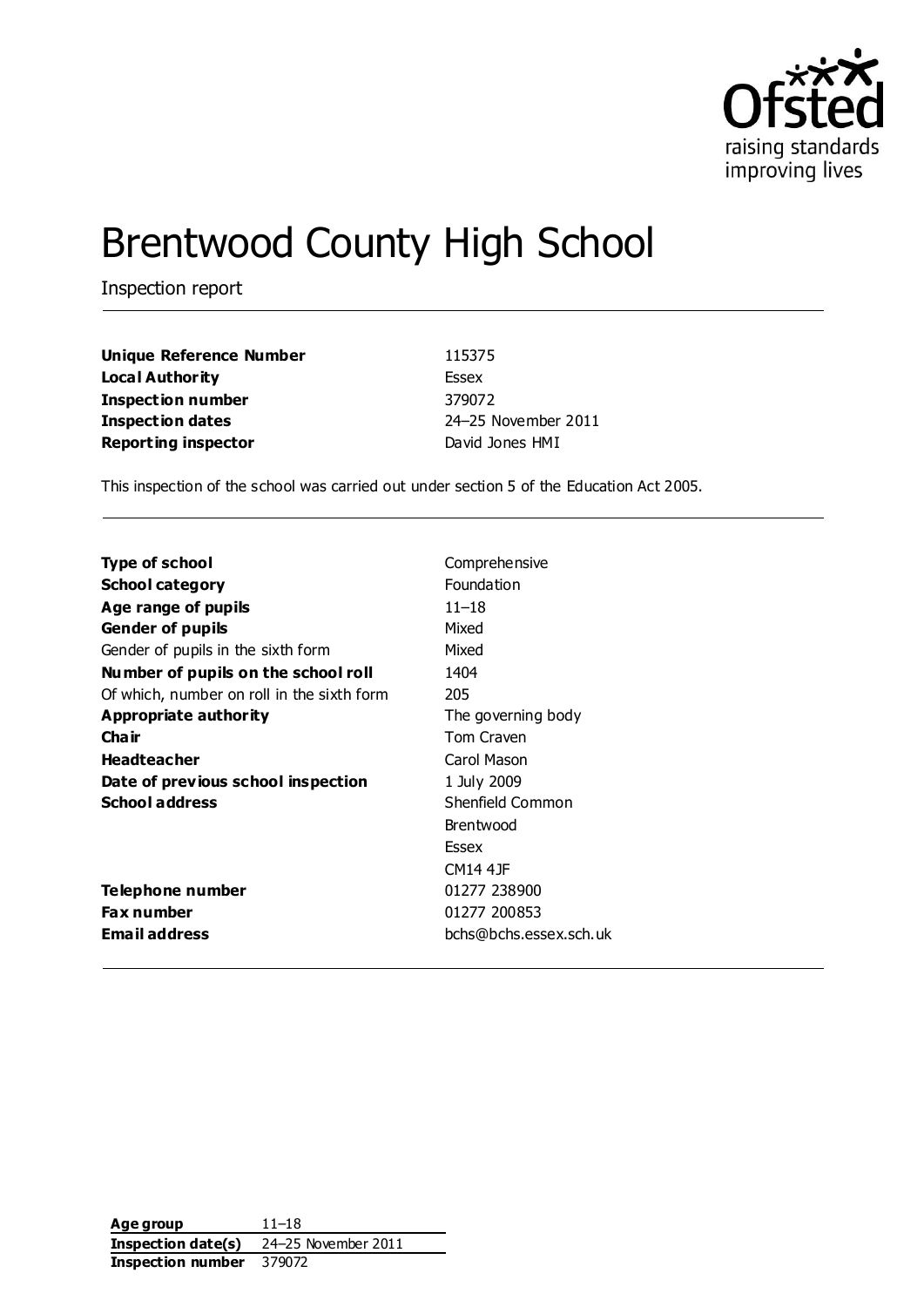

## Brentwood County High School

Inspection report

| Unique Reference Number    | 115375              |
|----------------------------|---------------------|
| Local Authority            | Essex               |
| Inspection number          | 379072              |
| <b>Inspection dates</b>    | 24-25 November 2011 |
| <b>Reporting inspector</b> | David Jones HMI     |

This inspection of the school was carried out under section 5 of the Education Act 2005.

| Type of school                             | Comprehensive          |
|--------------------------------------------|------------------------|
| <b>School category</b>                     | Foundation             |
| Age range of pupils                        | 11–18                  |
| <b>Gender of pupils</b>                    | Mixed                  |
| Gender of pupils in the sixth form         | Mixed                  |
| Number of pupils on the school roll        | 1404                   |
| Of which, number on roll in the sixth form | 205                    |
| Appropriate authority                      | The governing body     |
| Cha ir                                     | Tom Craven             |
| <b>Headteacher</b>                         | Carol Mason            |
| Date of previous school inspection         | 1 July 2009            |
| <b>School address</b>                      | Shenfield Common       |
|                                            | Brentwood              |
|                                            | <b>Essex</b>           |
|                                            | CM14 4 JF              |
| Telephone number                           | 01277 238900           |
| Fax number                                 | 01277 200853           |
| Email address                              | bchs@bchs.essex.sch.uk |

**Age group** 11–18 **Inspection date(s)** 24–25 November 2011 **Inspection number** 379072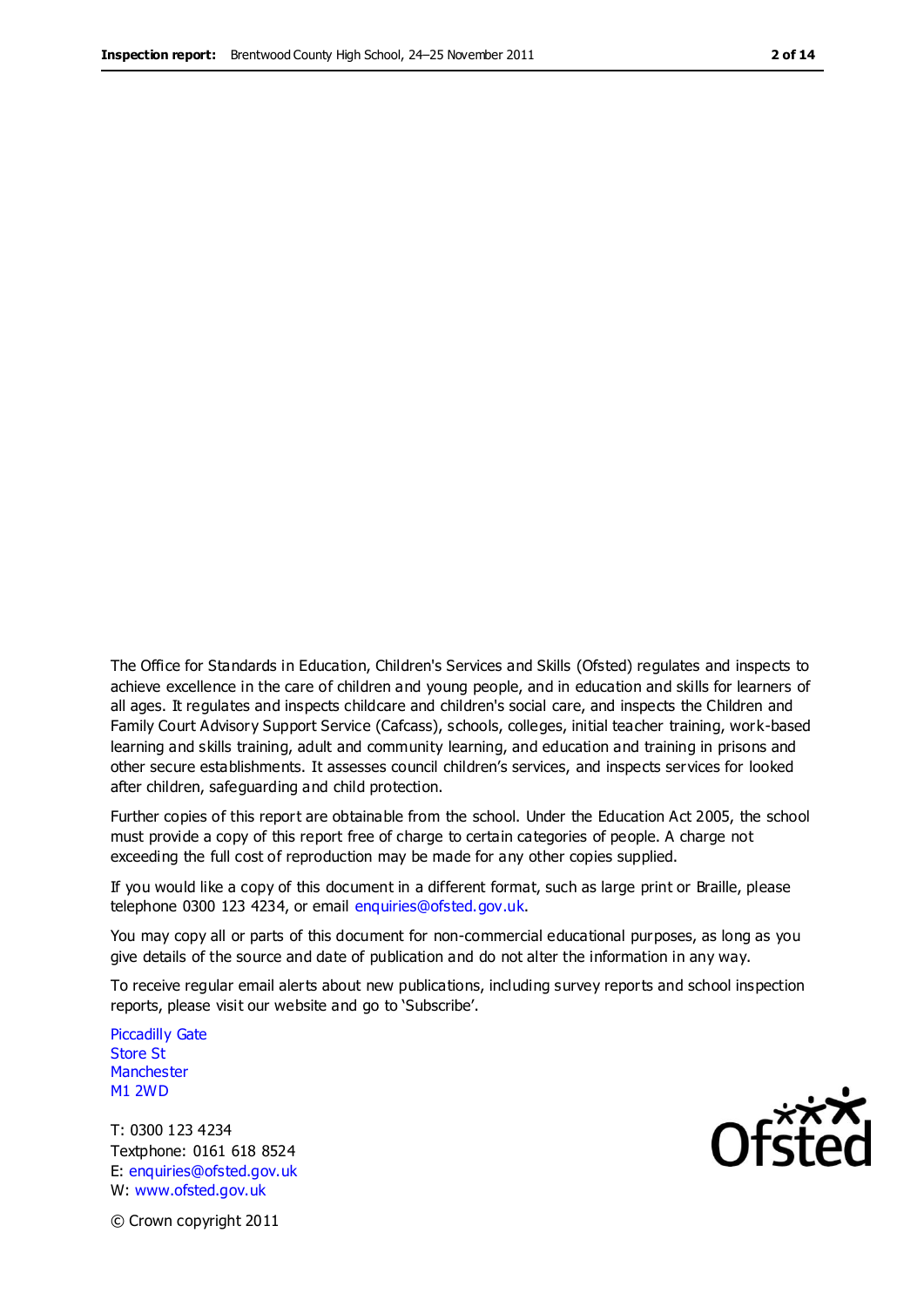The Office for Standards in Education, Children's Services and Skills (Ofsted) regulates and inspects to achieve excellence in the care of children and young people, and in education and skills for learners of all ages. It regulates and inspects childcare and children's social care, and inspects the Children and Family Court Advisory Support Service (Cafcass), schools, colleges, initial teacher training, work-based learning and skills training, adult and community learning, and education and training in prisons and other secure establishments. It assesses council children's services, and inspects services for looked after children, safeguarding and child protection.

Further copies of this report are obtainable from the school. Under the Education Act 2005, the school must provide a copy of this report free of charge to certain categories of people. A charge not exceeding the full cost of reproduction may be made for any other copies supplied.

If you would like a copy of this document in a different format, such as large print or Braille, please telephone 0300 123 4234, or email enquiries@ofsted.gov.uk.

You may copy all or parts of this document for non-commercial educational purposes, as long as you give details of the source and date of publication and do not alter the information in any way.

To receive regular email alerts about new publications, including survey reports and school inspection reports, please visit our website and go to 'Subscribe'.

Piccadilly Gate Store St **Manchester** M1 2WD

T: 0300 123 4234 Textphone: 0161 618 8524 E: enquiries@ofsted.gov.uk W: www.ofsted.gov.uk

Ofsted

© Crown copyright 2011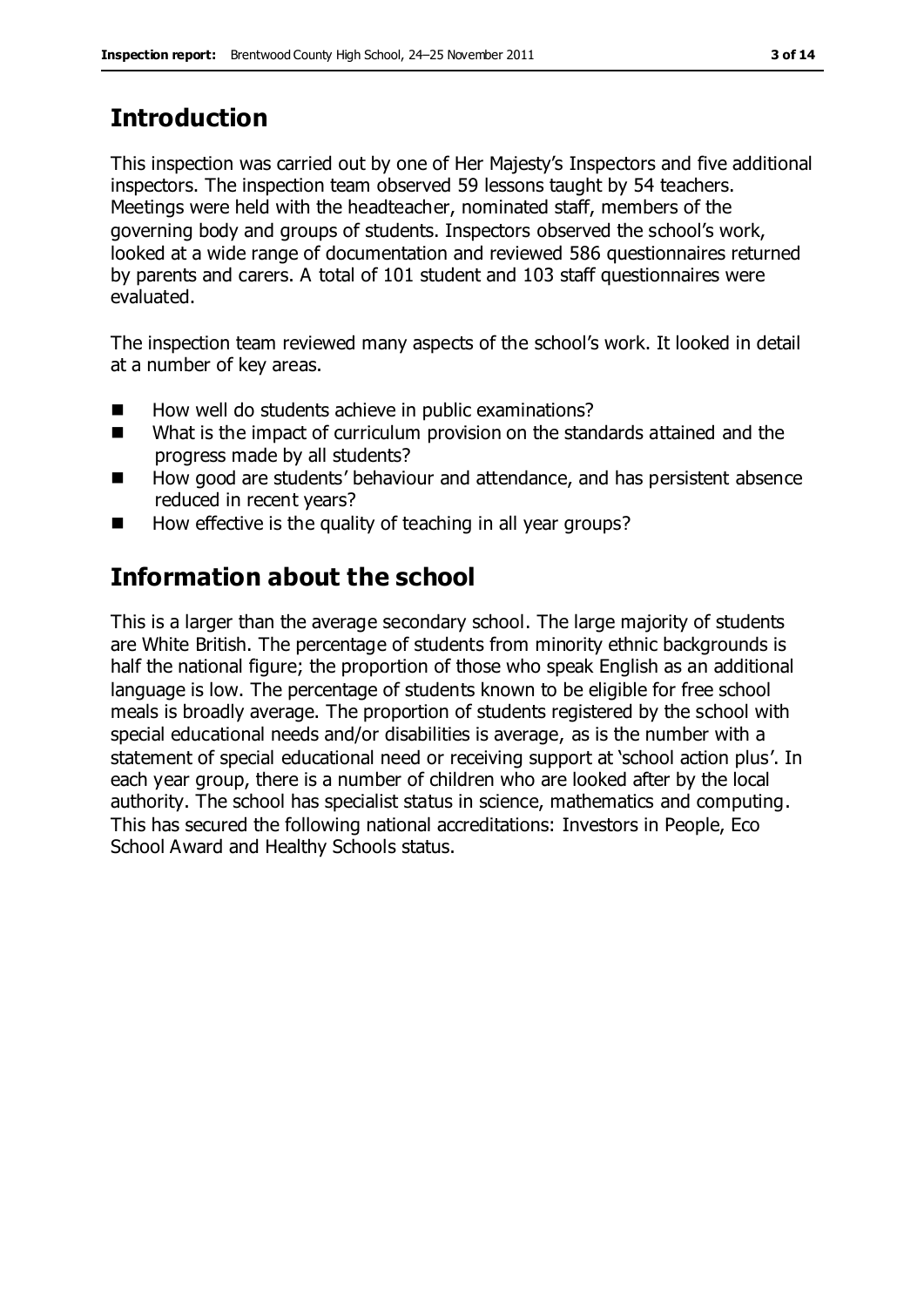## **Introduction**

This inspection was carried out by one of Her Majesty's Inspectors and five additional inspectors. The inspection team observed 59 lessons taught by 54 teachers. Meetings were held with the headteacher, nominated staff, members of the governing body and groups of students. Inspectors observed the school's work, looked at a wide range of documentation and reviewed 586 questionnaires returned by parents and carers. A total of 101 student and 103 staff questionnaires were evaluated.

The inspection team reviewed many aspects of the school's work. It looked in detail at a number of key areas.

- How well do students achieve in public examinations?
- What is the impact of curriculum provision on the standards attained and the progress made by all students?
- How good are students' behaviour and attendance, and has persistent absence reduced in recent years?
- How effective is the quality of teaching in all year groups?

## **Information about the school**

This is a larger than the average secondary school. The large majority of students are White British. The percentage of students from minority ethnic backgrounds is half the national figure; the proportion of those who speak English as an additional language is low. The percentage of students known to be eligible for free school meals is broadly average. The proportion of students registered by the school with special educational needs and/or disabilities is average, as is the number with a statement of special educational need or receiving support at 'school action plus'. In each year group, there is a number of children who are looked after by the local authority. The school has specialist status in science, mathematics and computing. This has secured the following national accreditations: Investors in People, Eco School Award and Healthy Schools status.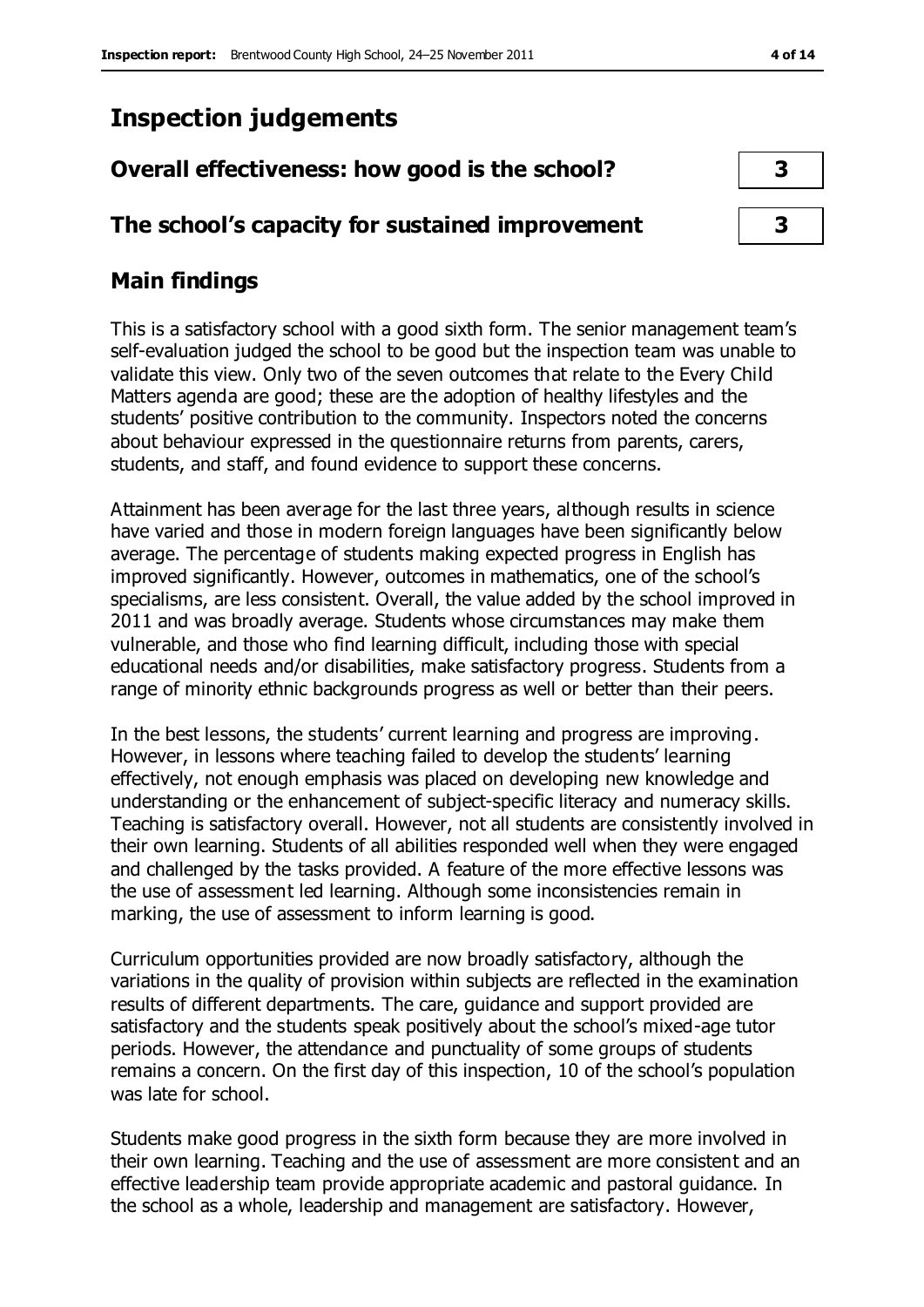## **Inspection judgements**

# **Overall effectiveness: how good is the school? 3**

## **The school's capacity for sustained improvement 3**

## **Main findings**

This is a satisfactory school with a good sixth form. The senior management team's self-evaluation judged the school to be good but the inspection team was unable to validate this view. Only two of the seven outcomes that relate to the Every Child Matters agenda are good; these are the adoption of healthy lifestyles and the students' positive contribution to the community. Inspectors noted the concerns about behaviour expressed in the questionnaire returns from parents, carers, students, and staff, and found evidence to support these concerns.

Attainment has been average for the last three years, although results in science have varied and those in modern foreign languages have been significantly below average. The percentage of students making expected progress in English has improved significantly. However, outcomes in mathematics, one of the school's specialisms, are less consistent. Overall, the value added by the school improved in 2011 and was broadly average. Students whose circumstances may make them vulnerable, and those who find learning difficult, including those with special educational needs and/or disabilities, make satisfactory progress. Students from a range of minority ethnic backgrounds progress as well or better than their peers.

In the best lessons, the students' current learning and progress are improving. However, in lessons where teaching failed to develop the students' learning effectively, not enough emphasis was placed on developing new knowledge and understanding or the enhancement of subject-specific literacy and numeracy skills. Teaching is satisfactory overall. However, not all students are consistently involved in their own learning. Students of all abilities responded well when they were engaged and challenged by the tasks provided. A feature of the more effective lessons was the use of assessment led learning. Although some inconsistencies remain in marking, the use of assessment to inform learning is good.

Curriculum opportunities provided are now broadly satisfactory, although the variations in the quality of provision within subjects are reflected in the examination results of different departments. The care, guidance and support provided are satisfactory and the students speak positively about the school's mixed-age tutor periods. However, the attendance and punctuality of some groups of students remains a concern. On the first day of this inspection, 10 of the school's population was late for school.

Students make good progress in the sixth form because they are more involved in their own learning. Teaching and the use of assessment are more consistent and an effective leadership team provide appropriate academic and pastoral guidance. In the school as a whole, leadership and management are satisfactory. However,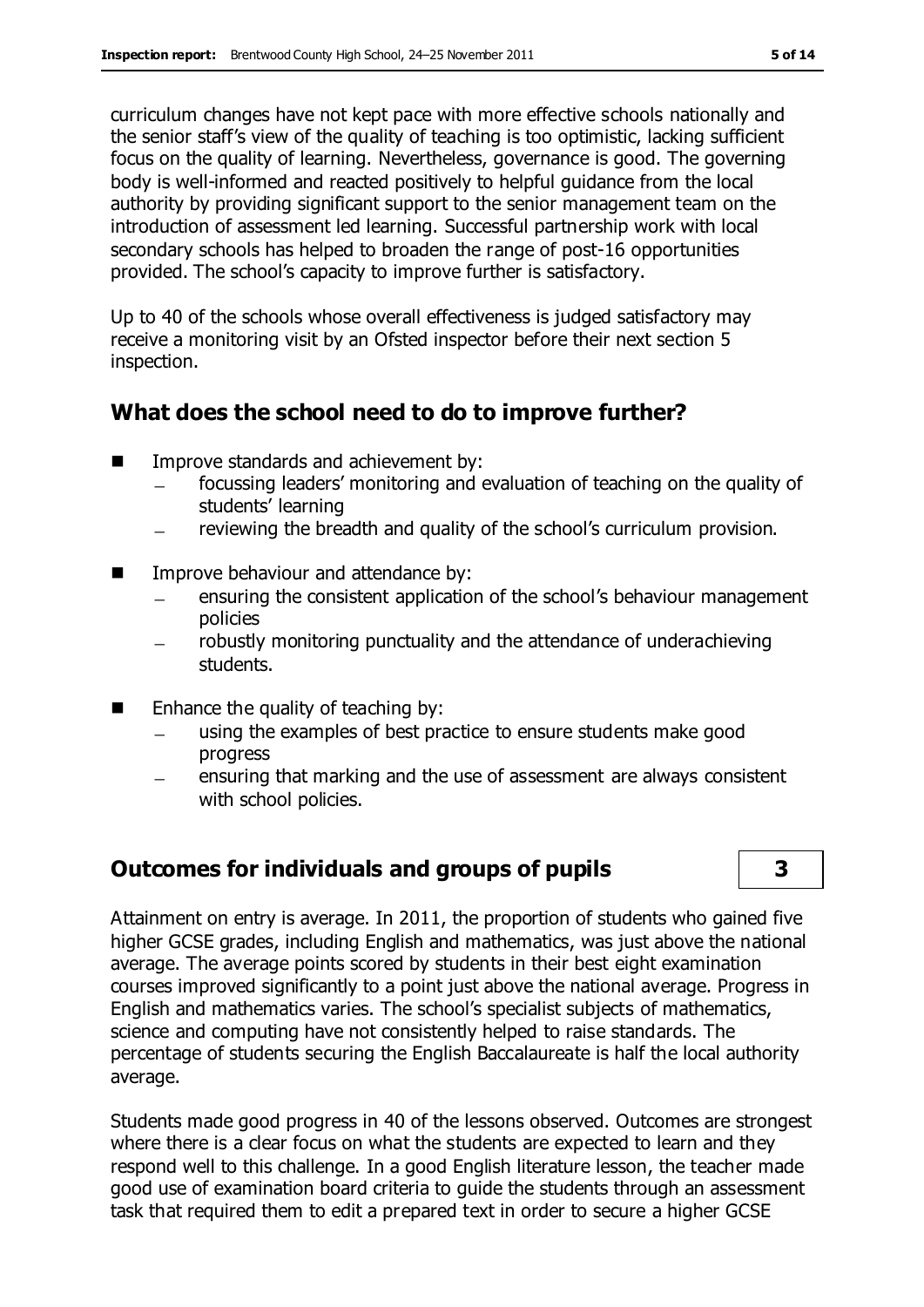curriculum changes have not kept pace with more effective schools nationally and the senior staff's view of the quality of teaching is too optimistic, lacking sufficient focus on the quality of learning. Nevertheless, governance is good. The governing body is well-informed and reacted positively to helpful guidance from the local authority by providing significant support to the senior management team on the introduction of assessment led learning. Successful partnership work with local secondary schools has helped to broaden the range of post-16 opportunities provided. The school's capacity to improve further is satisfactory.

Up to 40 of the schools whose overall effectiveness is judged satisfactory may receive a monitoring visit by an Ofsted inspector before their next section 5 inspection.

## **What does the school need to do to improve further?**

- **IMPROPE STANDARD IMPROPERTY** Improve standards and achievement by:
	- focussing leaders' monitoring and evaluation of teaching on the quality of students' learning
	- reviewing the breadth and quality of the school's curriculum provision.  $\qquad \qquad -$
- **IMPROVE behaviour and attendance by:** 
	- ensuring the consistent application of the school's behaviour management policies
	- robustly monitoring punctuality and the attendance of underachieving students.
- $\blacksquare$  Enhance the quality of teaching by:
	- using the examples of best practice to ensure students make good progress
	- ensuring that marking and the use of assessment are always consistent with school policies.

## **Outcomes for individuals and groups of pupils 3**



Attainment on entry is average. In 2011, the proportion of students who gained five higher GCSE grades, including English and mathematics, was just above the national average. The average points scored by students in their best eight examination courses improved significantly to a point just above the national average. Progress in English and mathematics varies. The school's specialist subjects of mathematics, science and computing have not consistently helped to raise standards. The percentage of students securing the English Baccalaureate is half the local authority average.

Students made good progress in 40 of the lessons observed. Outcomes are strongest where there is a clear focus on what the students are expected to learn and they respond well to this challenge. In a good English literature lesson, the teacher made good use of examination board criteria to guide the students through an assessment task that required them to edit a prepared text in order to secure a higher GCSE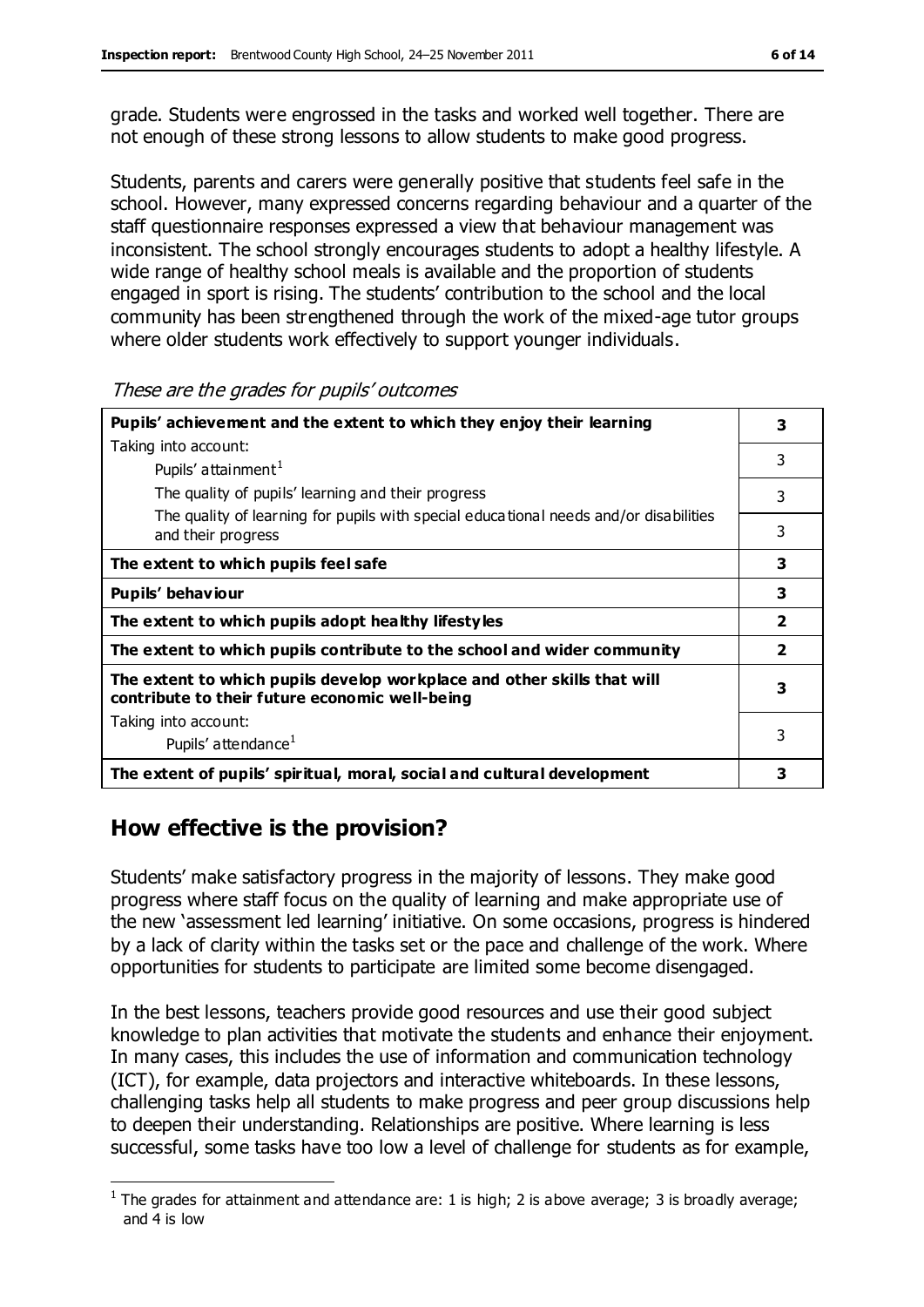grade. Students were engrossed in the tasks and worked well together. There are not enough of these strong lessons to allow students to make good progress.

Students, parents and carers were generally positive that students feel safe in the school. However, many expressed concerns regarding behaviour and a quarter of the staff questionnaire responses expressed a view that behaviour management was inconsistent. The school strongly encourages students to adopt a healthy lifestyle. A wide range of healthy school meals is available and the proportion of students engaged in sport is rising. The students' contribution to the school and the local community has been strengthened through the work of the mixed-age tutor groups where older students work effectively to support younger individuals.

| Pupils' achievement and the extent to which they enjoy their learning                                                     |                         |  |
|---------------------------------------------------------------------------------------------------------------------------|-------------------------|--|
| Taking into account:                                                                                                      | 3                       |  |
| Pupils' attainment <sup>1</sup>                                                                                           |                         |  |
| The quality of pupils' learning and their progress                                                                        | 3                       |  |
| The quality of learning for pupils with special educational needs and/or disabilities<br>and their progress               | 3                       |  |
| The extent to which pupils feel safe                                                                                      | 3                       |  |
| Pupils' behaviour                                                                                                         | 3                       |  |
| The extent to which pupils adopt healthy lifestyles                                                                       | $\overline{\mathbf{2}}$ |  |
| The extent to which pupils contribute to the school and wider community                                                   | $\overline{\mathbf{2}}$ |  |
| The extent to which pupils develop workplace and other skills that will<br>contribute to their future economic well-being | 3                       |  |
| Taking into account:                                                                                                      |                         |  |
| Pupils' attendance <sup>1</sup>                                                                                           | 3                       |  |
| The extent of pupils' spiritual, moral, social and cultural development                                                   | 3                       |  |

#### These are the grades for pupils' outcomes

## **How effective is the provision?**

 $\overline{a}$ 

Students' make satisfactory progress in the majority of lessons. They make good progress where staff focus on the quality of learning and make appropriate use of the new 'assessment led learning' initiative. On some occasions, progress is hindered by a lack of clarity within the tasks set or the pace and challenge of the work. Where opportunities for students to participate are limited some become disengaged.

In the best lessons, teachers provide good resources and use their good subject knowledge to plan activities that motivate the students and enhance their enjoyment. In many cases, this includes the use of information and communication technology (ICT), for example, data projectors and interactive whiteboards. In these lessons, challenging tasks help all students to make progress and peer group discussions help to deepen their understanding. Relationships are positive. Where learning is less successful, some tasks have too low a level of challenge for students as for example,

<sup>&</sup>lt;sup>1</sup> The grades for attainment and attendance are: 1 is high; 2 is above average; 3 is broadly average; and 4 is low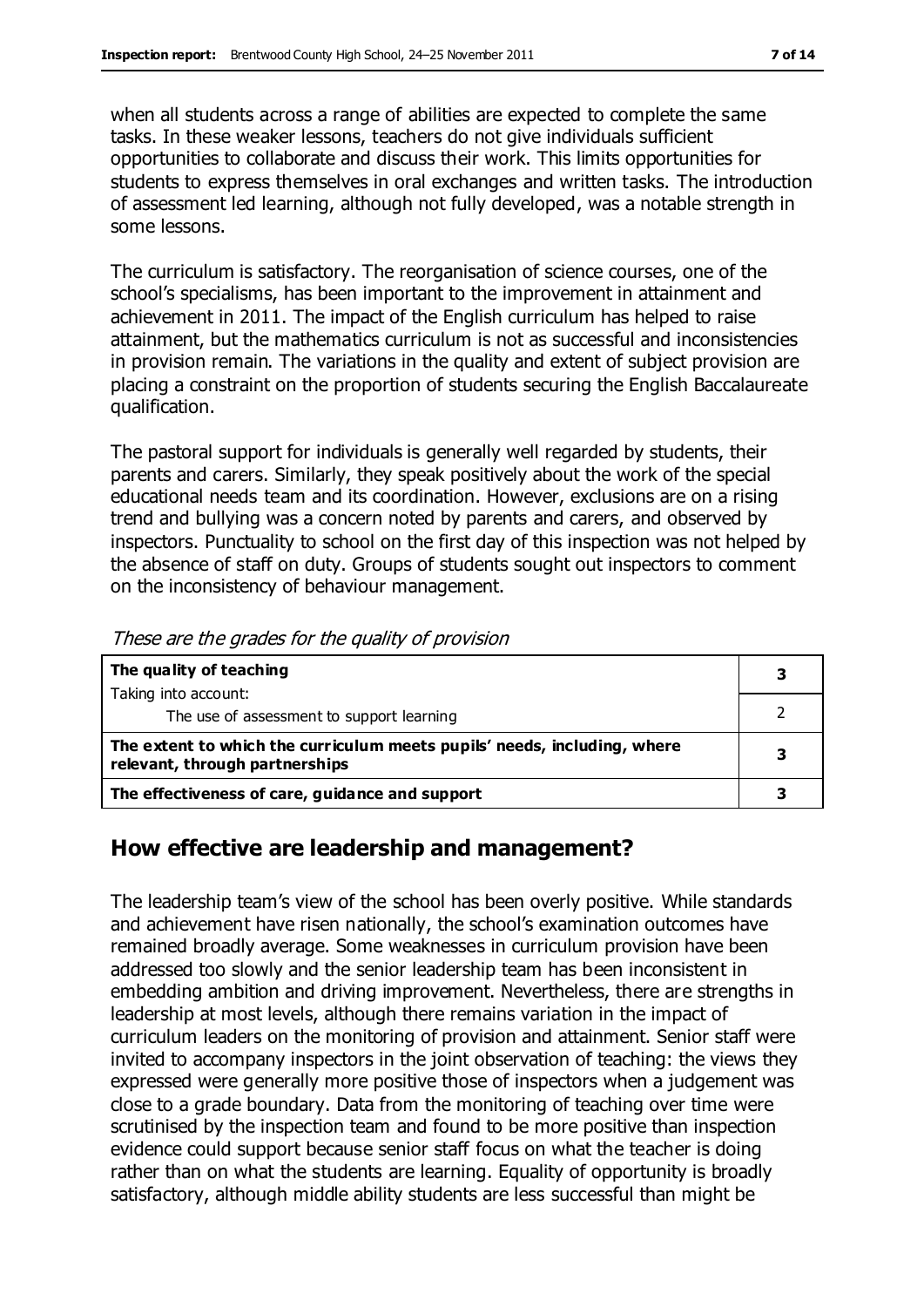when all students across a range of abilities are expected to complete the same tasks. In these weaker lessons, teachers do not give individuals sufficient opportunities to collaborate and discuss their work. This limits opportunities for students to express themselves in oral exchanges and written tasks. The introduction of assessment led learning, although not fully developed, was a notable strength in some lessons.

The curriculum is satisfactory. The reorganisation of science courses, one of the school's specialisms, has been important to the improvement in attainment and achievement in 2011. The impact of the English curriculum has helped to raise attainment, but the mathematics curriculum is not as successful and inconsistencies in provision remain. The variations in the quality and extent of subject provision are placing a constraint on the proportion of students securing the English Baccalaureate qualification.

The pastoral support for individuals is generally well regarded by students, their parents and carers. Similarly, they speak positively about the work of the special educational needs team and its coordination. However, exclusions are on a rising trend and bullying was a concern noted by parents and carers, and observed by inspectors. Punctuality to school on the first day of this inspection was not helped by the absence of staff on duty. Groups of students sought out inspectors to comment on the inconsistency of behaviour management.

| The quality of teaching                                                                                    | 3 |
|------------------------------------------------------------------------------------------------------------|---|
| Taking into account:                                                                                       |   |
| The use of assessment to support learning                                                                  |   |
| The extent to which the curriculum meets pupils' needs, including, where<br>relevant, through partnerships |   |
| The effectiveness of care, guidance and support                                                            |   |

These are the grades for the quality of provision

## **How effective are leadership and management?**

The leadership team's view of the school has been overly positive. While standards and achievement have risen nationally, the school's examination outcomes have remained broadly average. Some weaknesses in curriculum provision have been addressed too slowly and the senior leadership team has been inconsistent in embedding ambition and driving improvement. Nevertheless, there are strengths in leadership at most levels, although there remains variation in the impact of curriculum leaders on the monitoring of provision and attainment. Senior staff were invited to accompany inspectors in the joint observation of teaching: the views they expressed were generally more positive those of inspectors when a judgement was close to a grade boundary. Data from the monitoring of teaching over time were scrutinised by the inspection team and found to be more positive than inspection evidence could support because senior staff focus on what the teacher is doing rather than on what the students are learning. Equality of opportunity is broadly satisfactory, although middle ability students are less successful than might be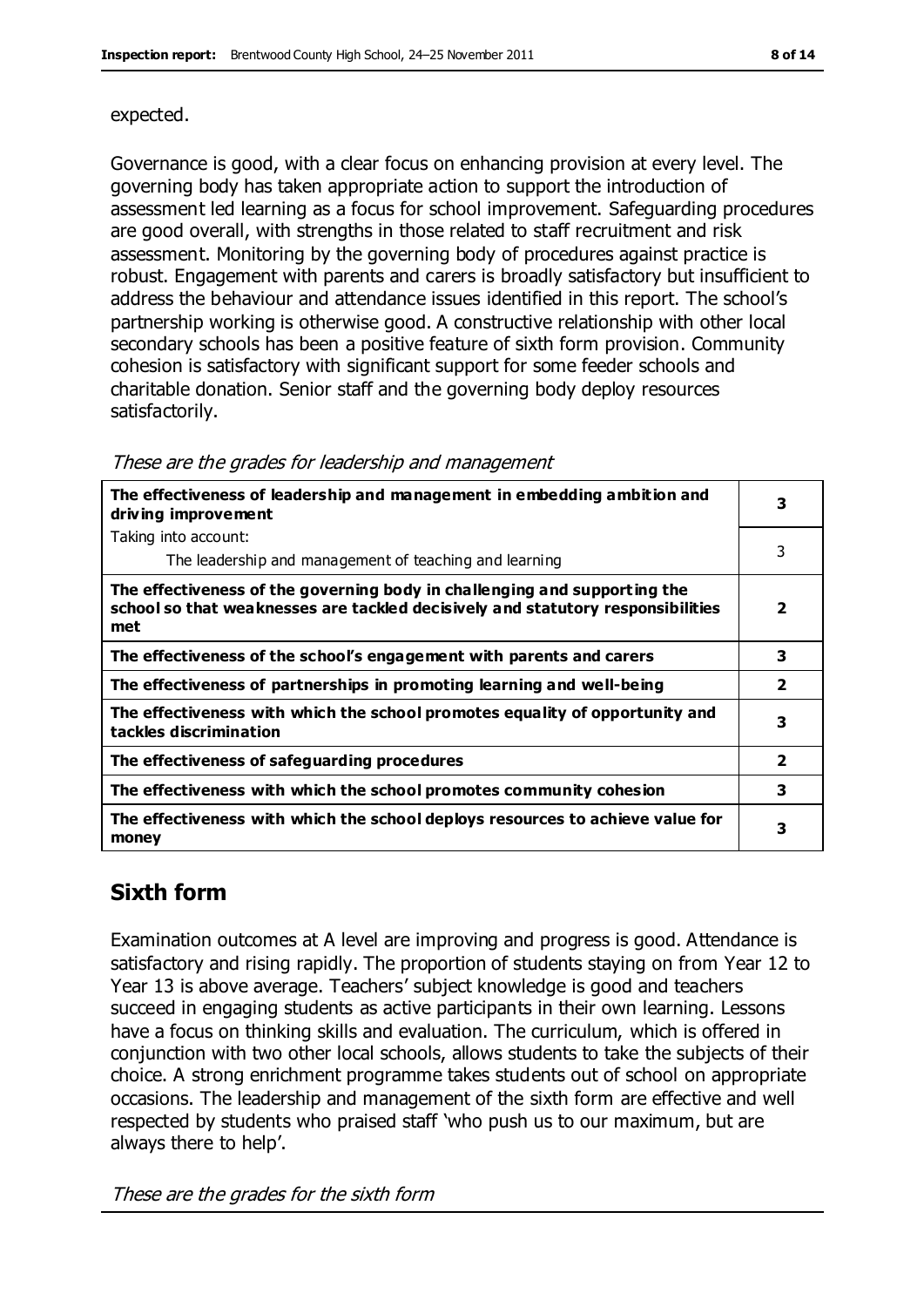#### expected.

Governance is good, with a clear focus on enhancing provision at every level. The governing body has taken appropriate action to support the introduction of assessment led learning as a focus for school improvement. Safeguarding procedures are good overall, with strengths in those related to staff recruitment and risk assessment. Monitoring by the governing body of procedures against practice is robust. Engagement with parents and carers is broadly satisfactory but insufficient to address the behaviour and attendance issues identified in this report. The school's partnership working is otherwise good. A constructive relationship with other local secondary schools has been a positive feature of sixth form provision. Community cohesion is satisfactory with significant support for some feeder schools and charitable donation. Senior staff and the governing body deploy resources satisfactorily.

| The effectiveness of leadership and management in embedding ambition and<br>driving improvement                                                                     |                         |
|---------------------------------------------------------------------------------------------------------------------------------------------------------------------|-------------------------|
| Taking into account:                                                                                                                                                |                         |
| The leadership and management of teaching and learning                                                                                                              | 3                       |
| The effectiveness of the governing body in challenging and supporting the<br>school so that weaknesses are tackled decisively and statutory responsibilities<br>met | $\overline{\mathbf{2}}$ |
| The effectiveness of the school's engagement with parents and carers                                                                                                | 3                       |
| The effectiveness of partnerships in promoting learning and well-being                                                                                              | $\overline{\mathbf{2}}$ |
| The effectiveness with which the school promotes equality of opportunity and<br>tackles discrimination                                                              | 3                       |
| The effectiveness of safeguarding procedures                                                                                                                        | $\overline{2}$          |
| The effectiveness with which the school promotes community cohesion                                                                                                 | 3                       |
| The effectiveness with which the school deploys resources to achieve value for<br>money                                                                             | 3                       |

These are the grades for leadership and management

## **Sixth form**

Examination outcomes at A level are improving and progress is good. Attendance is satisfactory and rising rapidly. The proportion of students staying on from Year 12 to Year 13 is above average. Teachers' subject knowledge is good and teachers succeed in engaging students as active participants in their own learning. Lessons have a focus on thinking skills and evaluation. The curriculum, which is offered in conjunction with two other local schools, allows students to take the subjects of their choice. A strong enrichment programme takes students out of school on appropriate occasions. The leadership and management of the sixth form are effective and well respected by students who praised staff 'who push us to our maximum, but are always there to help'.

These are the grades for the sixth form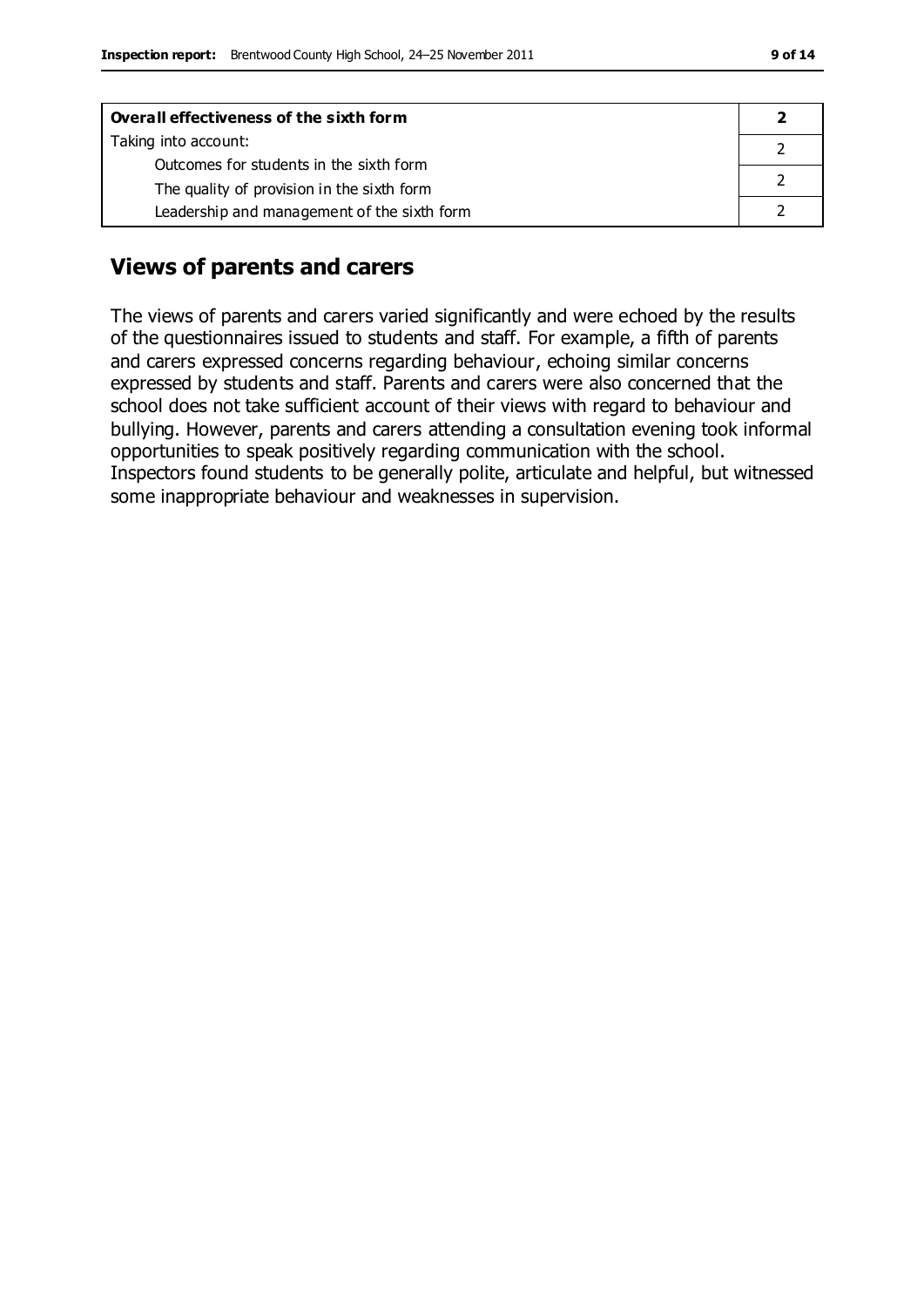| Overall effectiveness of the sixth form     |  |  |
|---------------------------------------------|--|--|
| Taking into account:                        |  |  |
| Outcomes for students in the sixth form     |  |  |
| The quality of provision in the sixth form  |  |  |
| Leadership and management of the sixth form |  |  |

## **Views of parents and carers**

The views of parents and carers varied significantly and were echoed by the results of the questionnaires issued to students and staff. For example, a fifth of parents and carers expressed concerns regarding behaviour, echoing similar concerns expressed by students and staff. Parents and carers were also concerned that the school does not take sufficient account of their views with regard to behaviour and bullying. However, parents and carers attending a consultation evening took informal opportunities to speak positively regarding communication with the school. Inspectors found students to be generally polite, articulate and helpful, but witnessed some inappropriate behaviour and weaknesses in supervision.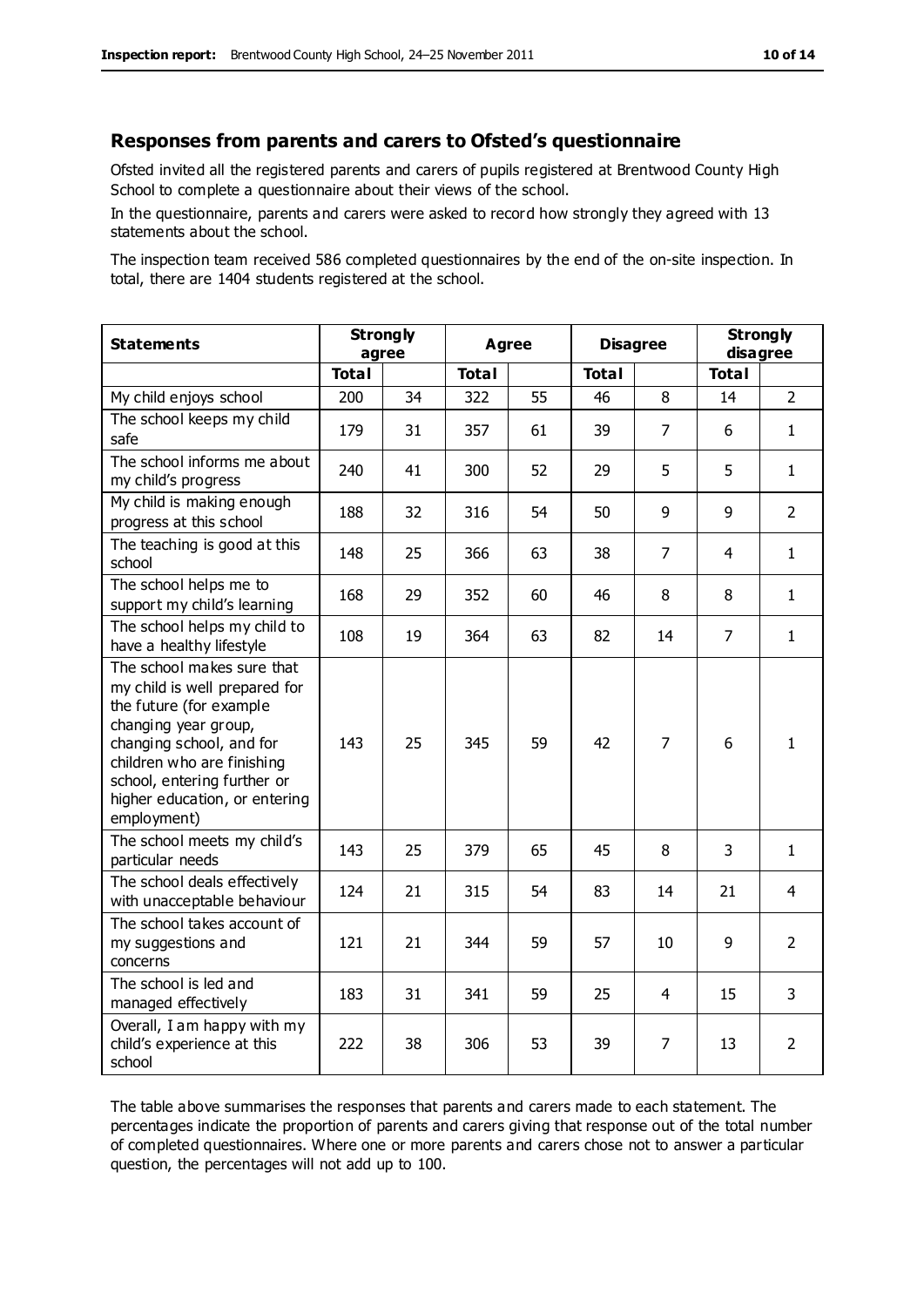#### **Responses from parents and carers to Ofsted's questionnaire**

Ofsted invited all the registered parents and carers of pupils registered at Brentwood County High School to complete a questionnaire about their views of the school.

In the questionnaire, parents and carers were asked to record how strongly they agreed with 13 statements about the school.

The inspection team received 586 completed questionnaires by the end of the on-site inspection. In total, there are 1404 students registered at the school.

| <b>Statements</b>                                                                                                                                                                                                                                       | <b>Strongly</b><br>agree |    | <b>Agree</b> |    | <b>Disagree</b> |                | <b>Strongly</b><br>disagree |                |
|---------------------------------------------------------------------------------------------------------------------------------------------------------------------------------------------------------------------------------------------------------|--------------------------|----|--------------|----|-----------------|----------------|-----------------------------|----------------|
|                                                                                                                                                                                                                                                         | <b>Total</b>             |    | <b>Total</b> |    | <b>Total</b>    |                | <b>Total</b>                |                |
| My child enjoys school                                                                                                                                                                                                                                  | 200                      | 34 | 322          | 55 | 46              | 8              | 14                          | $2^{\circ}$    |
| The school keeps my child<br>safe                                                                                                                                                                                                                       | 179                      | 31 | 357          | 61 | 39              | 7              | 6                           | $\mathbf{1}$   |
| The school informs me about<br>my child's progress                                                                                                                                                                                                      | 240                      | 41 | 300          | 52 | 29              | 5              | 5                           | $\mathbf{1}$   |
| My child is making enough<br>progress at this school                                                                                                                                                                                                    | 188                      | 32 | 316          | 54 | 50              | 9              | 9                           | $\overline{2}$ |
| The teaching is good at this<br>school                                                                                                                                                                                                                  | 148                      | 25 | 366          | 63 | 38              | $\overline{7}$ | 4                           | $\mathbf{1}$   |
| The school helps me to<br>support my child's learning                                                                                                                                                                                                   | 168                      | 29 | 352          | 60 | 46              | 8              | 8                           | $\mathbf{1}$   |
| The school helps my child to<br>have a healthy lifestyle                                                                                                                                                                                                | 108                      | 19 | 364          | 63 | 82              | 14             | $\overline{7}$              | $\mathbf{1}$   |
| The school makes sure that<br>my child is well prepared for<br>the future (for example<br>changing year group,<br>changing school, and for<br>children who are finishing<br>school, entering further or<br>higher education, or entering<br>employment) | 143                      | 25 | 345          | 59 | 42              | $\overline{7}$ | 6                           | $\mathbf{1}$   |
| The school meets my child's<br>particular needs                                                                                                                                                                                                         | 143                      | 25 | 379          | 65 | 45              | 8              | 3                           | $\mathbf{1}$   |
| The school deals effectively<br>with unacceptable behaviour                                                                                                                                                                                             | 124                      | 21 | 315          | 54 | 83              | 14             | 21                          | $\overline{4}$ |
| The school takes account of<br>my suggestions and<br>concerns                                                                                                                                                                                           | 121                      | 21 | 344          | 59 | 57              | 10             | 9                           | $\overline{2}$ |
| The school is led and<br>managed effectively                                                                                                                                                                                                            | 183                      | 31 | 341          | 59 | 25              | $\overline{4}$ | 15                          | 3              |
| Overall, I am happy with my<br>child's experience at this<br>school                                                                                                                                                                                     | 222                      | 38 | 306          | 53 | 39              | 7              | 13                          | $\overline{2}$ |

The table above summarises the responses that parents and carers made to each statement. The percentages indicate the proportion of parents and carers giving that response out of the total number of completed questionnaires. Where one or more parents and carers chose not to answer a particular question, the percentages will not add up to 100.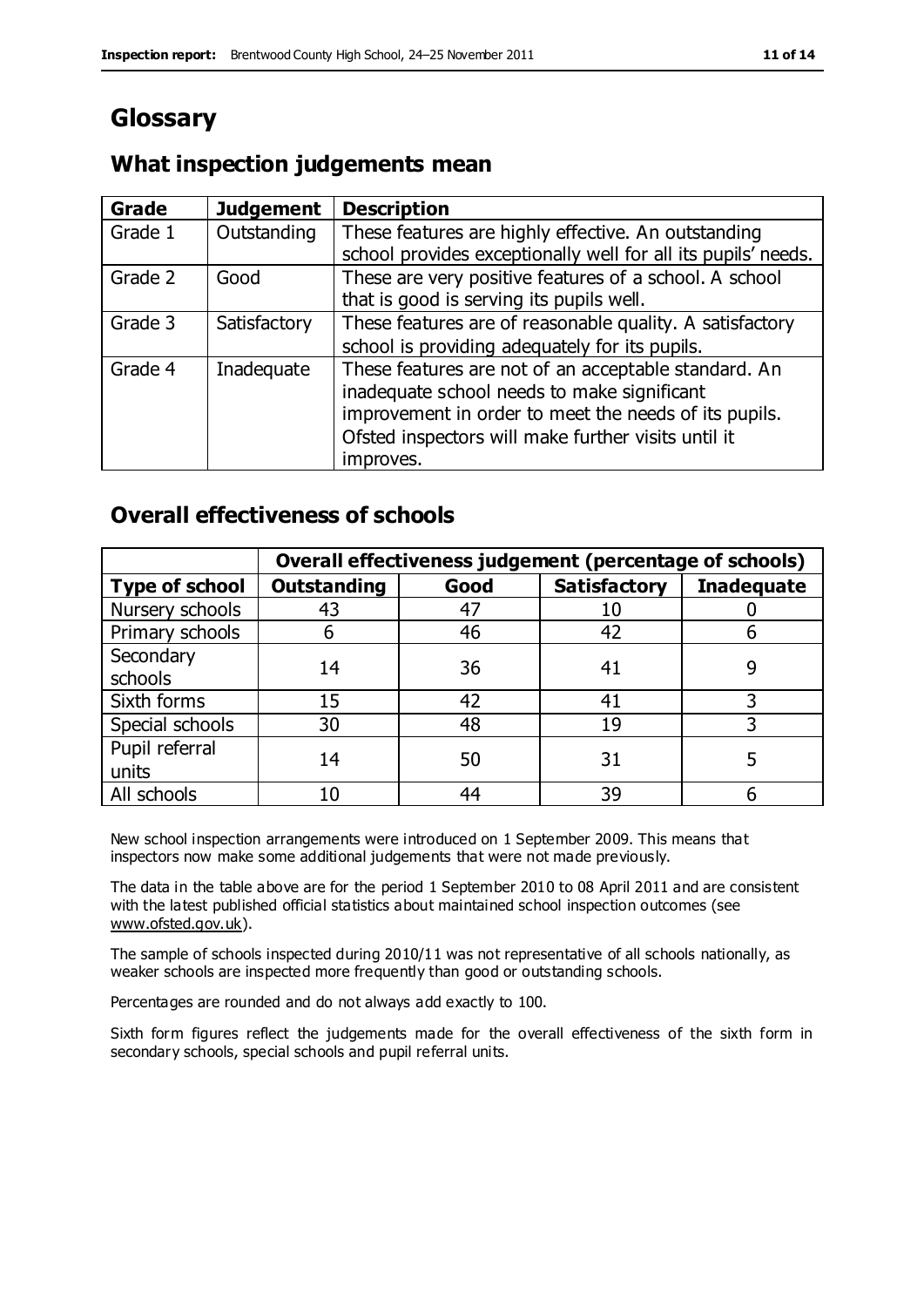## **Glossary**

#### **What inspection judgements mean**

| <b>Grade</b> | <b>Judgement</b> | <b>Description</b>                                            |
|--------------|------------------|---------------------------------------------------------------|
| Grade 1      | Outstanding      | These features are highly effective. An outstanding           |
|              |                  | school provides exceptionally well for all its pupils' needs. |
| Grade 2      | Good             | These are very positive features of a school. A school        |
|              |                  | that is good is serving its pupils well.                      |
| Grade 3      | Satisfactory     | These features are of reasonable quality. A satisfactory      |
|              |                  | school is providing adequately for its pupils.                |
| Grade 4      | Inadequate       | These features are not of an acceptable standard. An          |
|              |                  | inadequate school needs to make significant                   |
|              |                  | improvement in order to meet the needs of its pupils.         |
|              |                  | Ofsted inspectors will make further visits until it           |
|              |                  | improves.                                                     |

#### **Overall effectiveness of schools**

|                       |                    |      | Overall effectiveness judgement (percentage of schools) |                   |  |
|-----------------------|--------------------|------|---------------------------------------------------------|-------------------|--|
| <b>Type of school</b> | <b>Outstanding</b> | Good | <b>Satisfactory</b>                                     | <b>Inadequate</b> |  |
| Nursery schools       | 43                 | 47   | 10                                                      |                   |  |
| Primary schools       | 6                  | 46   | 42                                                      |                   |  |
| Secondary             | 14                 | 36   |                                                         |                   |  |
| schools               |                    |      | 41                                                      |                   |  |
| Sixth forms           | 15                 | 42   | 41                                                      |                   |  |
| Special schools       | 30                 | 48   | 19                                                      |                   |  |
| Pupil referral        | 14                 | 50   | 31                                                      |                   |  |
| units                 |                    |      |                                                         |                   |  |
| All schools           | 10                 | 44   | 39                                                      |                   |  |

New school inspection arrangements were introduced on 1 September 2009. This means that inspectors now make some additional judgements that were not made previously.

The data in the table above are for the period 1 September 2010 to 08 April 2011 and are consistent with the latest published official statistics about maintained school inspection outcomes (see [www.ofsted.gov.uk\)](http://www.ofsted.gov.uk/).

The sample of schools inspected during 2010/11 was not representative of all schools nationally, as weaker schools are inspected more frequently than good or outstanding schools.

Percentages are rounded and do not always add exactly to 100.

Sixth form figures reflect the judgements made for the overall effectiveness of the sixth form in secondary schools, special schools and pupil referral units.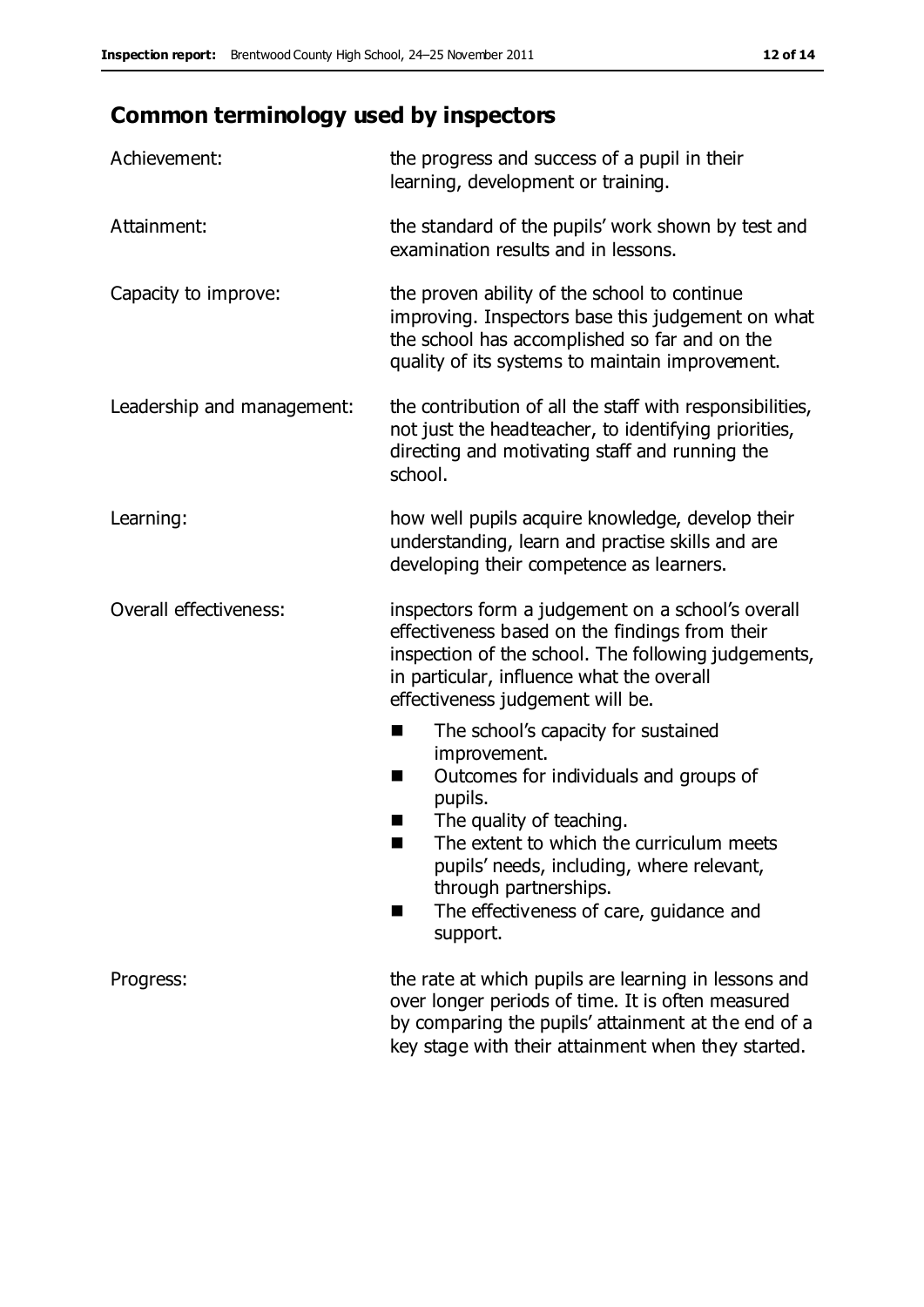## **Common terminology used by inspectors**

| Achievement:                  | the progress and success of a pupil in their<br>learning, development or training.                                                                                                                                                                                                                                           |
|-------------------------------|------------------------------------------------------------------------------------------------------------------------------------------------------------------------------------------------------------------------------------------------------------------------------------------------------------------------------|
| Attainment:                   | the standard of the pupils' work shown by test and<br>examination results and in lessons.                                                                                                                                                                                                                                    |
| Capacity to improve:          | the proven ability of the school to continue<br>improving. Inspectors base this judgement on what<br>the school has accomplished so far and on the<br>quality of its systems to maintain improvement.                                                                                                                        |
| Leadership and management:    | the contribution of all the staff with responsibilities,<br>not just the headteacher, to identifying priorities,<br>directing and motivating staff and running the<br>school.                                                                                                                                                |
| Learning:                     | how well pupils acquire knowledge, develop their<br>understanding, learn and practise skills and are<br>developing their competence as learners.                                                                                                                                                                             |
| <b>Overall effectiveness:</b> | inspectors form a judgement on a school's overall<br>effectiveness based on the findings from their<br>inspection of the school. The following judgements,<br>in particular, influence what the overall<br>effectiveness judgement will be.                                                                                  |
|                               | The school's capacity for sustained<br>■<br>improvement.<br>Outcomes for individuals and groups of<br>H<br>pupils.<br>The quality of teaching.<br>The extent to which the curriculum meets<br>pupils' needs, including, where relevant,<br>through partnerships.<br>The effectiveness of care, guidance and<br>٠<br>support. |
| Progress:                     | the rate at which pupils are learning in lessons and<br>over longer periods of time. It is often measured<br>by comparing the pupils' attainment at the end of a<br>key stage with their attainment when they started.                                                                                                       |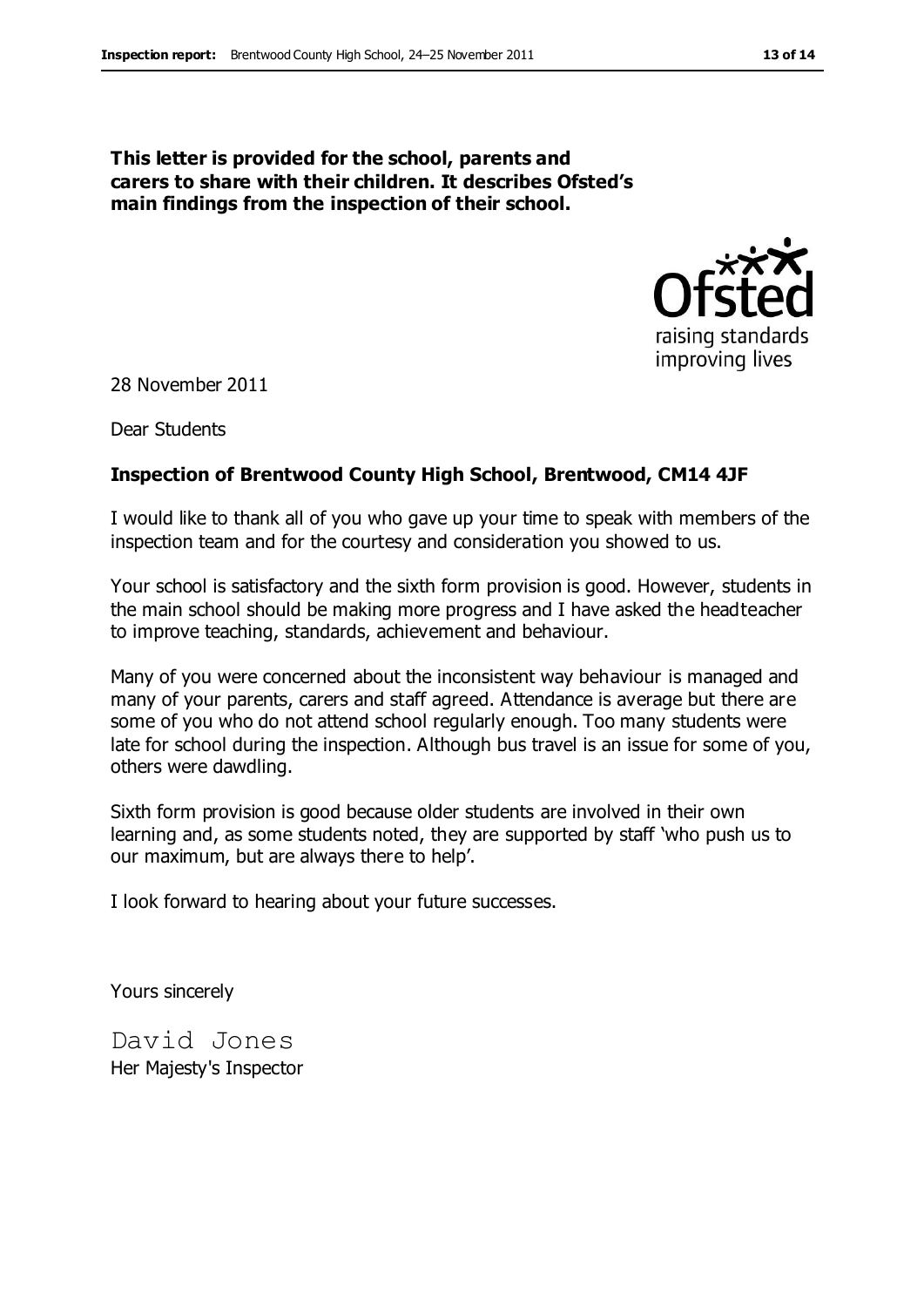#### **This letter is provided for the school, parents and carers to share with their children. It describes Ofsted's main findings from the inspection of their school.**



28 November 2011

Dear Students

#### **Inspection of Brentwood County High School, Brentwood, CM14 4JF**

I would like to thank all of you who gave up your time to speak with members of the inspection team and for the courtesy and consideration you showed to us.

Your school is satisfactory and the sixth form provision is good. However, students in the main school should be making more progress and I have asked the headteacher to improve teaching, standards, achievement and behaviour.

Many of you were concerned about the inconsistent way behaviour is managed and many of your parents, carers and staff agreed. Attendance is average but there are some of you who do not attend school regularly enough. Too many students were late for school during the inspection. Although bus travel is an issue for some of you, others were dawdling.

Sixth form provision is good because older students are involved in their own learning and, as some students noted, they are supported by staff 'who push us to our maximum, but are always there to help'.

I look forward to hearing about your future successes.

Yours sincerely

David Jones Her Majesty's Inspector